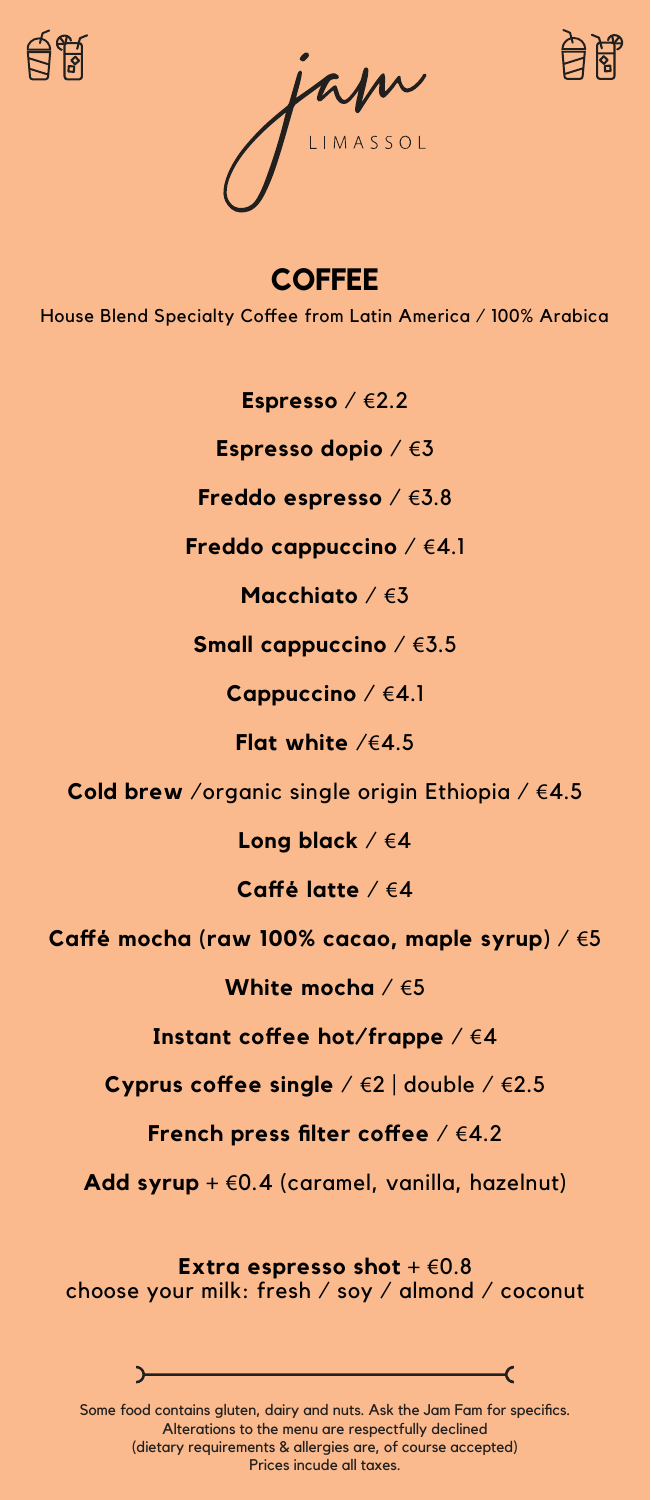





**COFFEE** House Blend Specialty Coffee from Latin America / 100% Arabica

**Espresso** / €2.2

**Espresso dopio** / €3

**Freddo espresso** / €3.8

**Freddo cappuccino** / €4.1

**Macchiato** / €3

**Small cappuccino** / €3.5

**Cappuccino** / €4.1

**Flat white** /€4.5

**Cold brew** /organic single origin Ethiopia / €4.5

**Long black** / €4

**Caffé latte** / €4

**Caffé mocha (raw 100% cacao, maple syrup)** / €5

**White mocha** / €5

**Instant coffee hot/frappe** / €4

**Cyprus coffee single** / €2 | double / €2.5

**French press filter coffee** / €4.2

**Add syrup** + €0.4 (caramel, vanilla, hazelnut)

**Extra espresso shot** + €0.8 choose your milk: fresh / soy / almond / coconut



Alterations to the menu are respectfully declined (dietary requirements & allergies are, of course accepted) Prices incude all taxes.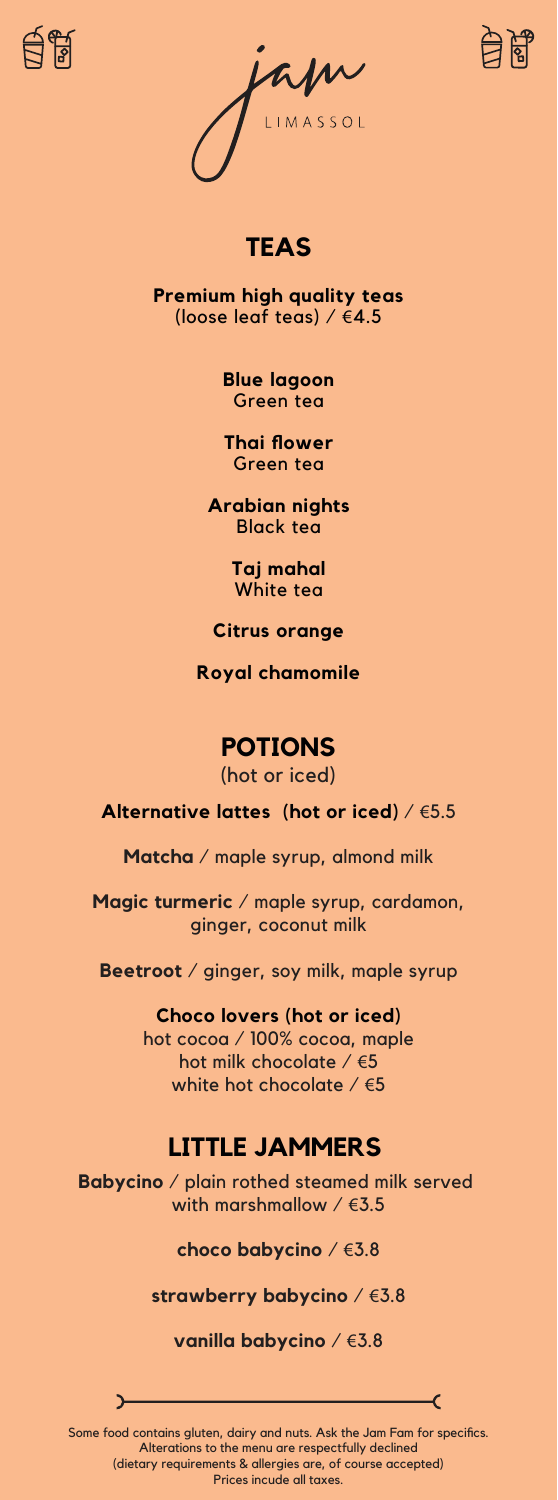





#### **TEAS**

**Premium high quality teas** (loose leaf teas) / €4.5

> **Blue lagoon** Green tea

**Thai flower** Green tea

**Arabian nights** Black tea

> **Taj mahal** White tea

**Citrus orange**

**Royal chamomile**

#### **POTIONS**

(hot or iced)

**Alternative lattes (hot or iced)** / €5.5

**Matcha** / maple syrup, almond milk

**Magic turmeric** / maple syrup, cardamon, ginger, coconut milk

**Beetroot** / ginger, soy milk, maple syrup

**Choco lovers (hot or iced)** hot cocoa / 100% cocoa, maple hot milk chocolate / €5 white hot chocolate  $/65$ 

#### **LITTLE JAMMERS**

**Babycino** / plain rothed steamed milk served with marshmallow  $/$   $63.5$ 

**choco babycino** / €3.8

**strawberry babycino** / €3.8

**vanilla babycino** / €3.8

 $\epsilon$ 

Some food contains gluten, dairy and nuts. Ask the Jam Fam for specifics. Alterations to the menu are respectfully declined (dietary requirements & allergies are, of course accepted) Prices incude all taxes.

 $\mathbf{r}$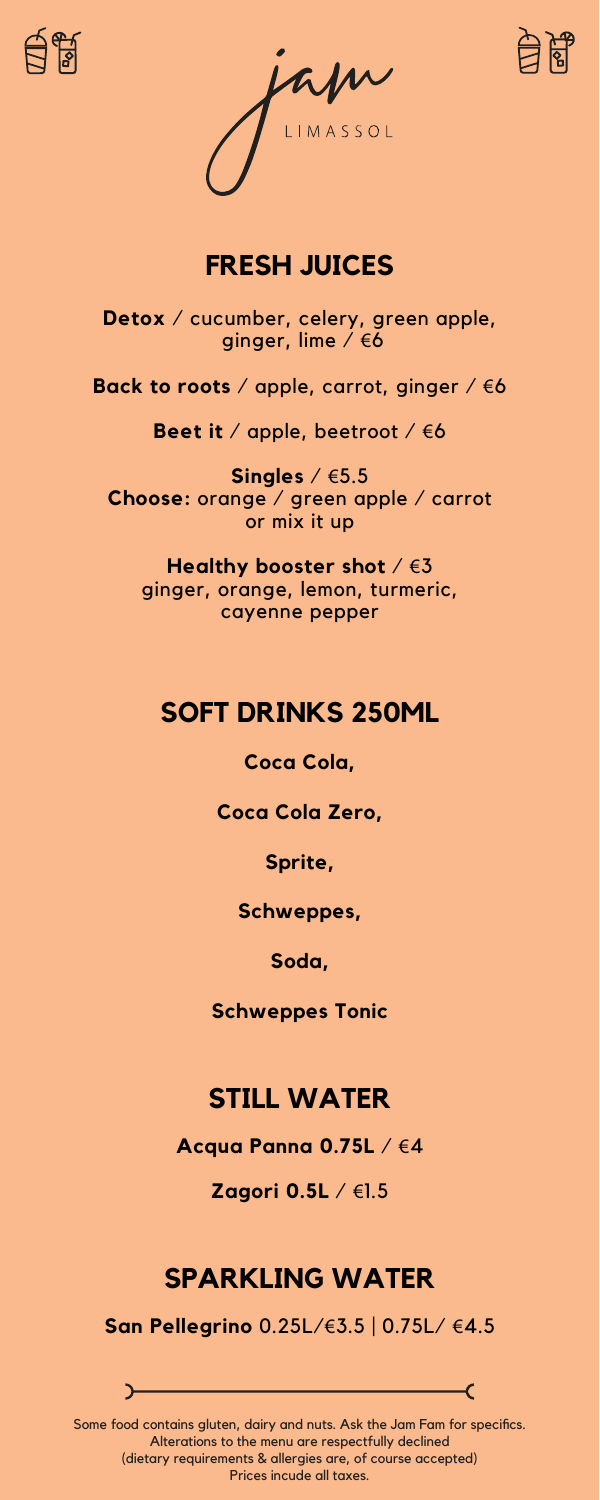





### **FRESH JUICES**

**Detox** / cucumber, celery, green apple, ginger, lime / €6

**Back to roots** / apple, carrot, ginger / €6

**Beet it** / apple, beetroot / €6

**Singles** / €5.5 **Choose:** orange / green apple / carrot or mix it up

**Healthy booster shot** / €3 ginger, orange, lemon, turmeric, cayenne pepper

### **SOFT DRINKS 250ML**

**Coca Cola,** 

**Coca Cola Zero,** 

**Sprite,** 

**Schweppes,** 

**Soda,** 

**Schweppes Tonic**

#### **STILL WATER**

**Acqua Panna 0.75L** / €4

**Zagori 0.5L** / €1.5

# **SPARKLING WATER**

**San Pellegrino** 0.25L/€3.5 | 0.75L/ €4.5

Some food contains gluten, dairy and nuts. Ask the Jam Fam for specifics. Alterations to the menu are respectfully declined (dietary requirements & allergies are, of course accepted) Prices incude all taxes.

–C

 $\rightarrow$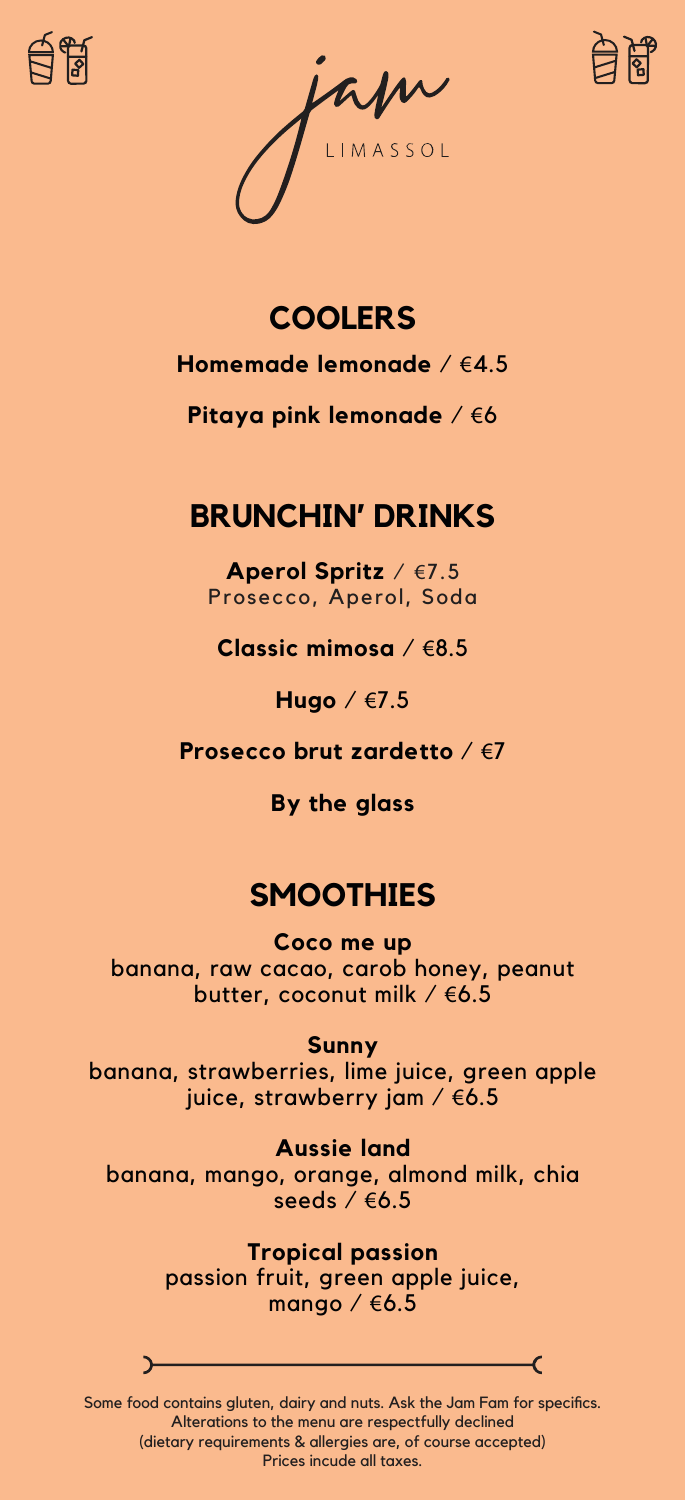





# **Homemade lemonade** / €4.5 **COOLERS**

**Pitaya pink lemonade** / €6

### **BRUNCHIN' DRINKS**

**Aperol Spritz** / €7.5 Prosecco, Aperol, Soda

**Classic mimosa** / €8.5

**Hugo** / €7.5

**Prosecco brut zardetto** / €7

**By the glass**

## **SMOOTHIES**

**Coco me up** banana, raw cacao, carob honey, peanut butter, coconut milk / €6.5

**Sunny** banana, strawberries, lime juice, green apple juice, strawberry jam / €6.5

**Aussie land** banana, mango, orange, almond milk, chia seeds / €6.5

> **Tropical passion** passion fruit, green apple juice, mango /  $6.5$

Some food contains gluten, dairy and nuts. Ask the Jam Fam for specifics. Alterations to the menu are respectfully declined (dietary requirements & allergies are, of course accepted) Prices incude all taxes.

–C